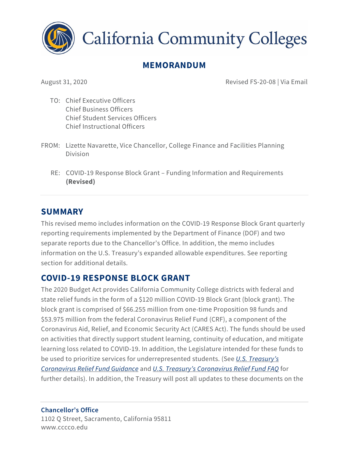

**California Community Colleges** 

# **MEMORANDUM**

August 31, 2020 Revised FS-20-08 | Via Email

- TO: Chief Executive Officers Chief Business Officers Chief Student Services Officers Chief Instructional Officers
- FROM: Lizette Navarette, Vice Chancellor, College Finance and Facilities Planning Division
	- RE: COVID-19 Response Block Grant Funding Information and Requirements **(Revised)**

### **SUMMARY**

This revised memo includes information on the COVID-19 Response Block Grant quarterly reporting requirements implemented by the Department of Finance (DOF) and two separate reports due to the Chancellor's Office. In addition, the memo includes information on the U.S. Treasury's expanded allowable expenditures. See reporting section for additional details.

## **COVID-19 RESPONSE BLOCK GRANT**

The 2020 Budget Act provides California Community College districts with federal and state relief funds in the form of a \$120 million COVID-19 Block Grant (block grant). The block grant is comprised of \$66.255 million from one-time Proposition 98 funds and \$53.975 million from the federal Coronavirus Relief Fund (CRF), a component of the Coronavirus Aid, Relief, and Economic Security Act (CARES Act). The funds should be used on activities that directly support student learning, continuity of education, and mitigate learning loss related to COVID-19. In addition, the Legislature intended for these funds to be used to prioritize services for underrepresented students. (See *[U.S. Treasury's](https://home.treasury.gov/system/files/136/Coronavirus-Relief-Fund-Guidance-for-State-Territorial-Local-and-Tribal-Governments.pdf)  [Coronavirus Relief Fund Guidance](https://home.treasury.gov/system/files/136/Coronavirus-Relief-Fund-Guidance-for-State-Territorial-Local-and-Tribal-Governments.pdf)* and *[U.S. Treasury's Coronavirus Relief Fund FAQ](https://home.treasury.gov/system/files/136/Coronavirus-Relief-Fund-Frequently-Asked-Questions.pdf)* for further details). In addition, the Treasury will post all updates to these documents on the

**Chancellor's Office** 1102 Q Street, Sacramento, California 95811 www.cccco.edu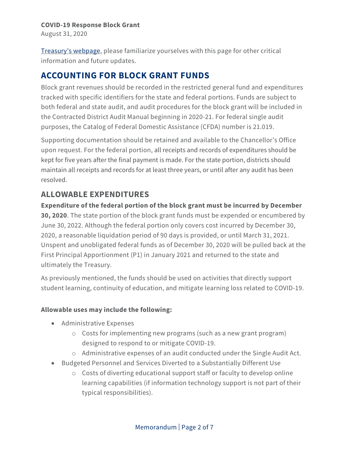August 31, 2020

[Treasury's webpage,](https://home.treasury.gov/policy-issues/cares/state-and-local-governments) please familiarize yourselves with this page for other critical information and future updates.

## **ACCOUNTING FOR BLOCK GRANT FUNDS**

Block grant revenues should be recorded in the restricted general fund and expenditures tracked with specific identifiers for the state and federal portions. Funds are subject to both federal and state audit, and audit procedures for the block grant will be included in the Contracted District Audit Manual beginning in 2020-21. For federal single audit purposes, the Catalog of Federal Domestic Assistance (CFDA) number is 21.019.

Supporting documentation should be retained and available to the Chancellor's Office upon request. For the federal portion, all receipts and records of expenditures should be kept for five years after the final payment is made. For the state portion, districts should maintain all receipts and records for at least three years, or until after any audit has been resolved.

### **ALLOWABLE EXPENDITURES**

**Expenditure of the federal portion of the block grant must be incurred by December 30, 2020**. The state portion of the block grant funds must be expended or encumbered by June 30, 2022. Although the federal portion only covers cost incurred by December 30, 2020, a reasonable liquidation period of 90 days is provided, or until March 31, 2021. Unspent and unobligated federal funds as of December 30, 2020 will be pulled back at the First Principal Apportionment (P1) in January 2021 and returned to the state and ultimately the Treasury.

As previously mentioned, the funds should be used on activities that directly support student learning, continuity of education, and mitigate learning loss related to COVID-19.

### **Allowable uses may include the following:**

- Administrative Expenses
	- o Costs for implementing new programs (such as a new grant program) designed to respond to or mitigate COVID-19.
	- o Administrative expenses of an audit conducted under the Single Audit Act.
- Budgeted Personnel and Services Diverted to a Substantially Different Use
	- o Costs of diverting educational support staff or faculty to develop online learning capabilities (if information technology support is not part of their typical responsibilities).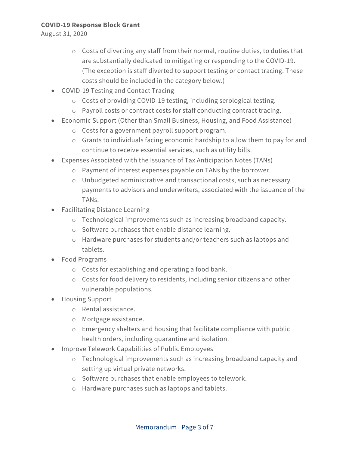August 31, 2020

- o Costs of diverting any staff from their normal, routine duties, to duties that are substantially dedicated to mitigating or responding to the COVID-19. (The exception is staff diverted to support testing or contact tracing. These costs should be included in the category below.)
- COVID-19 Testing and Contact Tracing
	- o Costs of providing COVID-19 testing, including serological testing.
	- o Payroll costs or contract costs for staff conducting contract tracing.
- Economic Support (Other than Small Business, Housing, and Food Assistance)
	- o Costs for a government payroll support program.
	- o Grants to individuals facing economic hardship to allow them to pay for and continue to receive essential services, such as utility bills.
- Expenses Associated with the Issuance of Tax Anticipation Notes (TANs)
	- o Payment of interest expenses payable on TANs by the borrower.
	- o Unbudgeted administrative and transactional costs, such as necessary payments to advisors and underwriters, associated with the issuance of the TANs.
- Facilitating Distance Learning
	- o Technological improvements such as increasing broadband capacity.
	- o Software purchases that enable distance learning.
	- o Hardware purchases for students and/or teachers such as laptops and tablets.
- Food Programs
	- o Costs for establishing and operating a food bank.
	- o Costs for food delivery to residents, including senior citizens and other vulnerable populations.
- Housing Support
	- o Rental assistance.
	- o Mortgage assistance.
	- o Emergency shelters and housing that facilitate compliance with public health orders, including quarantine and isolation.
- Improve Telework Capabilities of Public Employees
	- o Technological improvements such as increasing broadband capacity and setting up virtual private networks.
	- o Software purchases that enable employees to telework.
	- o Hardware purchases such as laptops and tablets.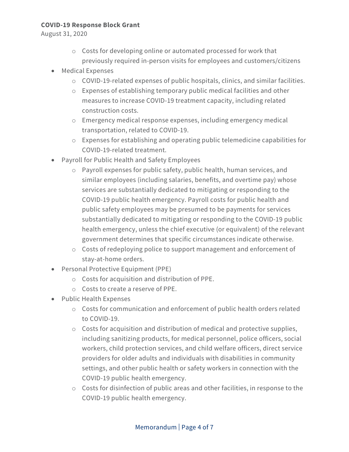August 31, 2020

- o Costs for developing online or automated processed for work that previously required in-person visits for employees and customers/citizens
- Medical Expenses
	- o COVID-19-related expenses of public hospitals, clinics, and similar facilities.
	- o Expenses of establishing temporary public medical facilities and other measures to increase COVID-19 treatment capacity, including related construction costs.
	- o Emergency medical response expenses, including emergency medical transportation, related to COVID-19.
	- o Expenses for establishing and operating public telemedicine capabilities for COVID-19-related treatment.
- Payroll for Public Health and Safety Employees
	- o Payroll expenses for public safety, public health, human services, and similar employees (including salaries, benefits, and overtime pay) whose services are substantially dedicated to mitigating or responding to the COVID-19 public health emergency. Payroll costs for public health and public safety employees may be presumed to be payments for services substantially dedicated to mitigating or responding to the COVID-19 public health emergency, unless the chief executive (or equivalent) of the relevant government determines that specific circumstances indicate otherwise.
	- o Costs of redeploying police to support management and enforcement of stay-at-home orders.
- Personal Protective Equipment (PPE)
	- o Costs for acquisition and distribution of PPE.
	- o Costs to create a reserve of PPE.
- Public Health Expenses
	- o Costs for communication and enforcement of public health orders related to COVID-19.
	- o Costs for acquisition and distribution of medical and protective supplies, including sanitizing products, for medical personnel, police officers, social workers, child protection services, and child welfare officers, direct service providers for older adults and individuals with disabilities in community settings, and other public health or safety workers in connection with the COVID-19 public health emergency.
	- o Costs for disinfection of public areas and other facilities, in response to the COVID-19 public health emergency.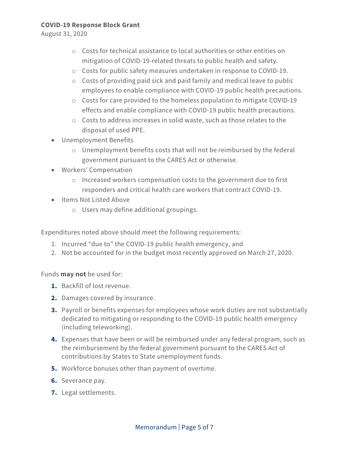August 31, 2020

- o Costs for technical assistance to local authorities or other entities on mitigation of COVID-19-related threats to public health and safety.
- o Costs for public safety measures undertaken in response to COVID-19.
- o Costs of providing paid sick and paid family and medical leave to public employees to enable compliance with COVID-19 public health precautions.
- o Costs for care provided to the homeless population to mitigate COVID-19 effects and enable compliance with COVID-19 public health precautions.
- o Costs to address increases in solid waste, such as those relates to the disposal of used PPE.
- Unemployment Benefits
	- o Unemployment benefits costs that will not be reimbursed by the federal government pursuant to the CARES Act or otherwise.
- Workers' Compensation
	- o Increased workers compensation costs to the government due to first responders and critical health care workers that contract COVID-19.
- Items Not Listed Above
	- o Users may define additional groupings.

Expenditures noted above should meet the following requirements:

- 1. Incurred "due to" the COVID-19 public health emergency, and
- 2. Not be accounted for in the budget most recently approved on March 27, 2020.

Funds **may not** be used for:

- **1.** Backfill of lost revenue.
- **2.** Damages covered by insurance.
- **3.** Payroll or benefits expenses for employees whose work duties are not substantially dedicated to mitigating or responding to the COVID-19 public health emergency (including teleworking).
- **4.** Expenses that have been or will be reimbursed under any federal program, such as the reimbursement by the federal government pursuant to the CARES Act of contributions by States to State unemployment funds.
- **5.** Workforce bonuses other than payment of overtime.
- **6.** Severance pay.
- **7.** Legal settlements.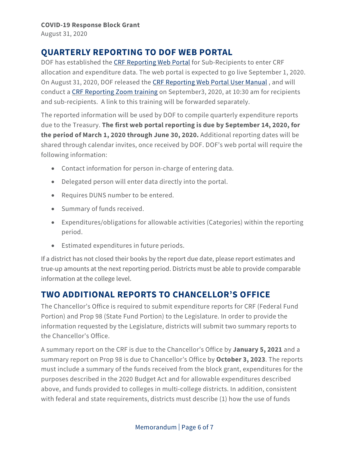August 31, 2020

## **QUARTERLY REPORTING TO DOF WEB PORTAL**

DOF has established the [CRF Reporting Web Portal](http://www.dof.ca.gov/budget/COVID-19/Coronavirus_Relief_Fund_Portal/) for Sub-Recipients to enter CRF allocation and expenditure data. The web portal is expected to go live September 1, 2020. On August 31, 2020, DOF released the [CRF Reporting Web Portal User Manual](http://dof.ca.gov/budget/COVID-19/Coronavirus_Relief_Fund_Portal/documents/DOF_CRF_Reporting_User_Manual.pdf) , and will conduct a [CRF Reporting Zoom training](https://zoom.us/j/96838560288?pwd=Yi9SUldUVWh2U3BhSGJzOTZ2Tm1Xdz09) on September3, 2020, at 10:30 am for recipients and sub-recipients. A link to this training will be forwarded separately.

The reported information will be used by DOF to compile quarterly expenditure reports due to the Treasury. **The first web portal reporting is due by September 14, 2020, for the period of March 1, 2020 through June 30, 2020.** Additional reporting dates will be shared through calendar invites, once received by DOF. DOF's web portal will require the following information:

- Contact information for person in-charge of entering data.
- Delegated person will enter data directly into the portal.
- Requires DUNS number to be entered.
- Summary of funds received.
- Expenditures/obligations for allowable activities (Categories) within the reporting period.
- Estimated expenditures in future periods.

If a district has not closed their books by the report due date, please report estimates and true-up amounts at the next reporting period. Districts must be able to provide comparable information at the college level.

# **TWO ADDITIONAL REPORTS TO CHANCELLOR'S OFFICE**

The Chancellor's Office is required to submit expenditure reports for CRF (Federal Fund Portion) and Prop 98 (State Fund Portion) to the Legislature. In order to provide the information requested by the Legislature, districts will submit two summary reports to the Chancellor's Office.

A summary report on the CRF is due to the Chancellor's Office by **January 5, 2021** and a summary report on Prop 98 is due to Chancellor's Office by **October 3, 2023**. The reports must include a summary of the funds received from the block grant, expenditures for the purposes described in the 2020 Budget Act and for allowable expenditures described above, and funds provided to colleges in multi-college districts. In addition, consistent with federal and state requirements, districts must describe (1) how the use of funds